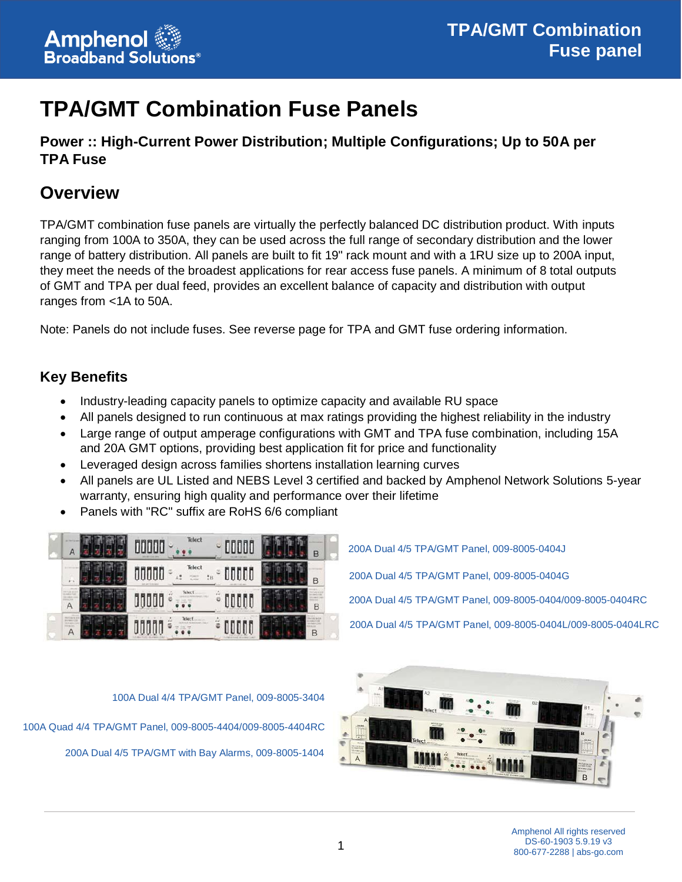# **TPA/GMT Combination Fuse Panels**

## **Power :: High-Current Power Distribution; Multiple Configurations; Up to 50A per TPA Fuse**

## **Overview**

TPA/GMT combination fuse panels are virtually the perfectly balanced DC distribution product. With inputs ranging from 100A to 350A, they can be used across the full range of secondary distribution and the lower range of battery distribution. All panels are built to fit 19" rack mount and with a 1RU size up to 200A input, they meet the needs of the broadest applications for rear access fuse panels. A minimum of 8 total outputs of GMT and TPA per dual feed, provides an excellent balance of capacity and distribution with output ranges from <1A to 50A.

Note: Panels do not include fuses. See reverse page for TPA and GMT fuse ordering information.

### **Key Benefits**

- Industry-leading capacity panels to optimize capacity and available RU space
- All panels designed to run continuous at max ratings providing the highest reliability in the industry
- Large range of output amperage configurations with GMT and TPA fuse combination, including 15A and 20A GMT options, providing best application fit for price and functionality
- Leveraged design across families shortens installation learning curves
- All panels are UL Listed and NEBS Level 3 certified and backed by Amphenol Network Solutions 5-year warranty, ensuring high quality and performance over their lifetime
- Panels with "RC" suffix are RoHS 6/6 compliant



200A Dual 4/5 TPA/GMT Panel, 009-8005-0404J 200A Dual 4/5 TPA/GMT Panel, 009-8005-0404G 200A Dual 4/5 TPA/GMT Panel, 009-8005-0404/009-8005-0404RC 200A Dual 4/5 TPA/GMT Panel, 009-8005-0404L/009-8005-0404LRC



100A Dual 4/4 TPA/GMT Panel, 009-8005-3404 100A Quad 4/4 TPA/GMT Panel, 009-8005-4404/009-8005-4404RC 200A Dual 4/5 TPA/GMT with Bay Alarms, 009-8005-1404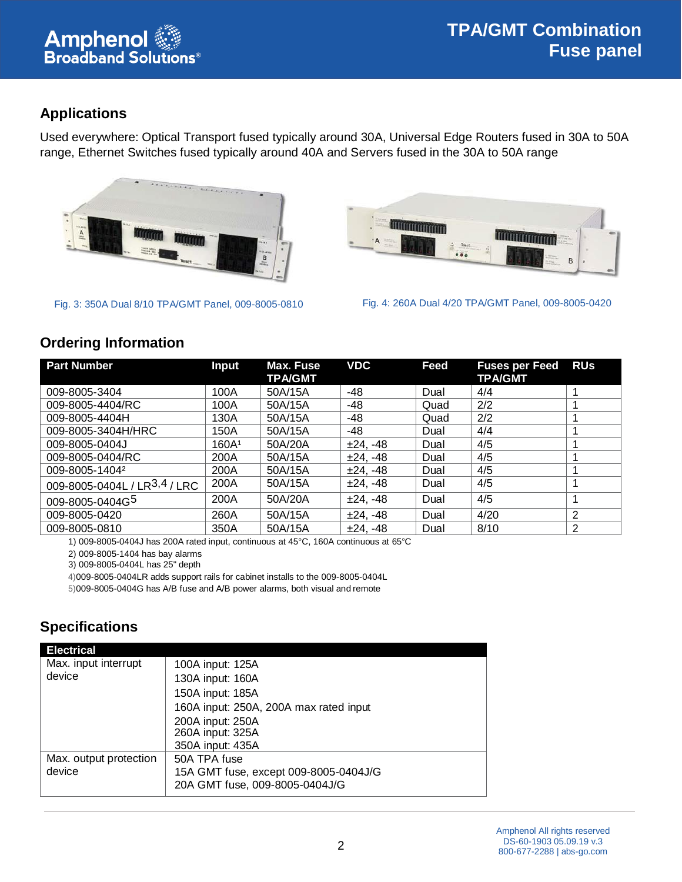

## **Applications**

Used everywhere: Optical Transport fused typically around 30A, Universal Edge Routers fused in 30A to 50A range, Ethernet Switches fused typically around 40A and Servers fused in the 30A to 50A range



Fig. 3: 350A Dual 8/10 TPA/GMT Panel, 009-8005-0810 Fig. 4: 260A Dual 4/20 TPA/GMT Panel, 009-8005-0420



#### **Ordering Information**

| <b>Part Number</b>                       | <b>Input</b>      | Max. Fuse<br><b>TPA/GMT</b> | <b>VDC</b> | Feed | <b>Fuses per Feed</b><br><b>TPA/GMT</b> | <b>RUs</b> |
|------------------------------------------|-------------------|-----------------------------|------------|------|-----------------------------------------|------------|
| 009-8005-3404                            | 100A              | 50A/15A                     | -48        | Dual | 4/4                                     |            |
| 009-8005-4404/RC                         | 100A              | 50A/15A                     | -48        | Quad | 2/2                                     |            |
| 009-8005-4404H                           | 130A              | 50A/15A                     | -48        | Quad | 2/2                                     |            |
| 009-8005-3404H/HRC                       | 150A              | 50A/15A                     | -48        | Dual | 4/4                                     |            |
| 009-8005-0404J                           | 160A <sup>1</sup> | 50A/20A                     | $±24. -48$ | Dual | 4/5                                     |            |
| 009-8005-0404/RC                         | 200A              | 50A/15A                     | $±24, -48$ | Dual | 4/5                                     |            |
| 009-8005-14042                           | 200A              | 50A/15A                     | $±24, -48$ | Dual | 4/5                                     |            |
| 009-8005-0404L / LR <sup>3,4</sup> / LRC | 200A              | 50A/15A                     | $±24, -48$ | Dual | 4/5                                     |            |
| 009-8005-0404G5                          | 200A              | 50A/20A                     | $±24, -48$ | Dual | 4/5                                     |            |
| 009-8005-0420                            | 260A              | 50A/15A                     | $±24, -48$ | Dual | 4/20                                    | 2          |
| 009-8005-0810                            | 350A              | 50A/15A                     | $±24, -48$ | Dual | 8/10                                    | 2          |

1) 009-8005-0404J has 200A rated input, continuous at 45°C, 160A continuous at 65°C

2) 009-8005-1404 has bay alarms

3) 009-8005-0404L has 25" depth

4)009-8005-0404LR adds support rails for cabinet installs to the 009-8005-0404L

5)009-8005-0404G has A/B fuse and A/B power alarms, both visual and remote

## **Specifications**

| <b>Electrical</b>      |                                        |
|------------------------|----------------------------------------|
| Max. input interrupt   | 100A input: 125A                       |
| device                 | 130A input: 160A                       |
|                        | 150A input: 185A                       |
|                        | 160A input: 250A, 200A max rated input |
|                        | 200A input: 250A                       |
|                        | 260A input: 325A<br>350A input: 435A   |
| Max. output protection | 50A TPA fuse                           |
| device                 | 15A GMT fuse, except 009-8005-0404J/G  |
|                        | 20A GMT fuse, 009-8005-0404J/G         |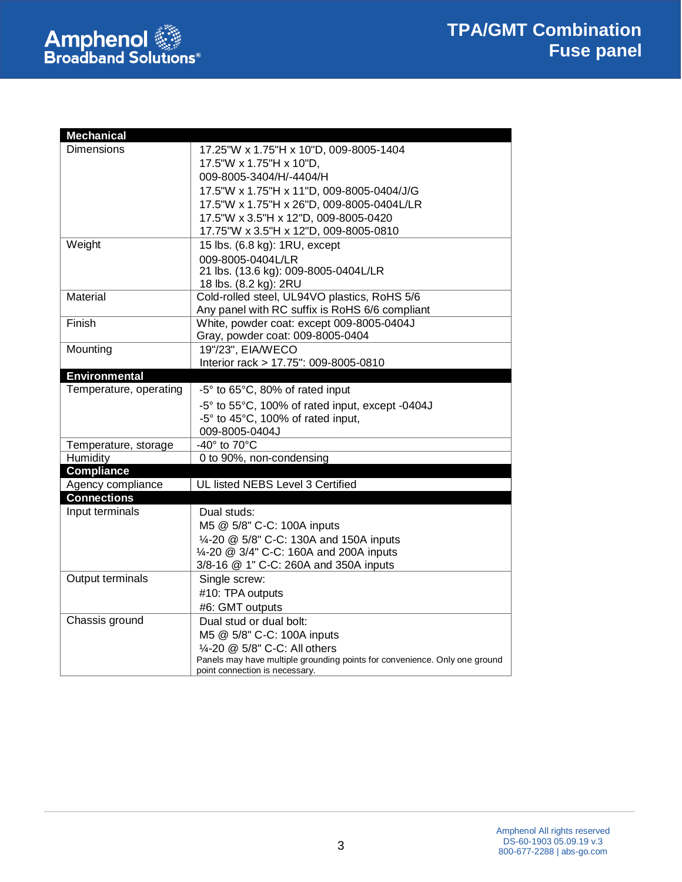

| <b>Mechanical</b>      |                                                                            |  |
|------------------------|----------------------------------------------------------------------------|--|
| <b>Dimensions</b>      | 17.25"W x 1.75"H x 10"D, 009-8005-1404                                     |  |
|                        | 17.5"W x 1.75"H x 10"D,                                                    |  |
|                        | 009-8005-3404/H/-4404/H                                                    |  |
|                        | 17.5"W x 1.75"H x 11"D, 009-8005-0404/J/G                                  |  |
|                        | 17.5"W x 1.75"H x 26"D, 009-8005-0404L/LR                                  |  |
|                        | 17.5"W x 3.5"H x 12"D, 009-8005-0420                                       |  |
|                        | 17.75"W x 3.5"H x 12"D, 009-8005-0810                                      |  |
| Weight                 | 15 lbs. (6.8 kg): 1RU, except                                              |  |
|                        | 009-8005-0404L/LR                                                          |  |
|                        | 21 lbs. (13.6 kg): 009-8005-0404L/LR                                       |  |
|                        | 18 lbs. (8.2 kg): 2RU                                                      |  |
| Material               | Cold-rolled steel, UL94VO plastics, RoHS 5/6                               |  |
|                        | Any panel with RC suffix is RoHS 6/6 compliant                             |  |
| Finish                 | White, powder coat: except 009-8005-0404J                                  |  |
|                        | Gray, powder coat: 009-8005-0404                                           |  |
| Mounting               | 19"/23", EIA/WECO                                                          |  |
|                        | Interior rack > 17.75": 009-8005-0810                                      |  |
| <b>Environmental</b>   |                                                                            |  |
| Temperature, operating | -5° to 65°C, 80% of rated input                                            |  |
|                        | -5° to 55°C, 100% of rated input, except -0404J                            |  |
|                        | -5° to 45°C, 100% of rated input,                                          |  |
|                        | 009-8005-0404J                                                             |  |
| Temperature, storage   | -40° to 70°C                                                               |  |
| Humidity               | 0 to 90%, non-condensing                                                   |  |
| <b>Compliance</b>      |                                                                            |  |
| Agency compliance      | UL listed NEBS Level 3 Certified                                           |  |
| <b>Connections</b>     |                                                                            |  |
| Input terminals        | Dual studs:                                                                |  |
|                        | M5 @ 5/8" C-C: 100A inputs                                                 |  |
|                        | 1/4-20 @ 5/8" C-C: 130A and 150A inputs                                    |  |
|                        | 1/4-20 @ 3/4" C-C: 160A and 200A inputs                                    |  |
|                        | 3/8-16 @ 1" C-C: 260A and 350A inputs                                      |  |
| Output terminals       | Single screw:                                                              |  |
|                        | #10: TPA outputs                                                           |  |
|                        | #6: GMT outputs                                                            |  |
| Chassis ground         | Dual stud or dual bolt:                                                    |  |
|                        | M5 @ 5/8" C-C: 100A inputs                                                 |  |
|                        | 1/4-20 @ 5/8" C-C: All others                                              |  |
|                        | Panels may have multiple grounding points for convenience. Only one ground |  |
|                        | point connection is necessary.                                             |  |